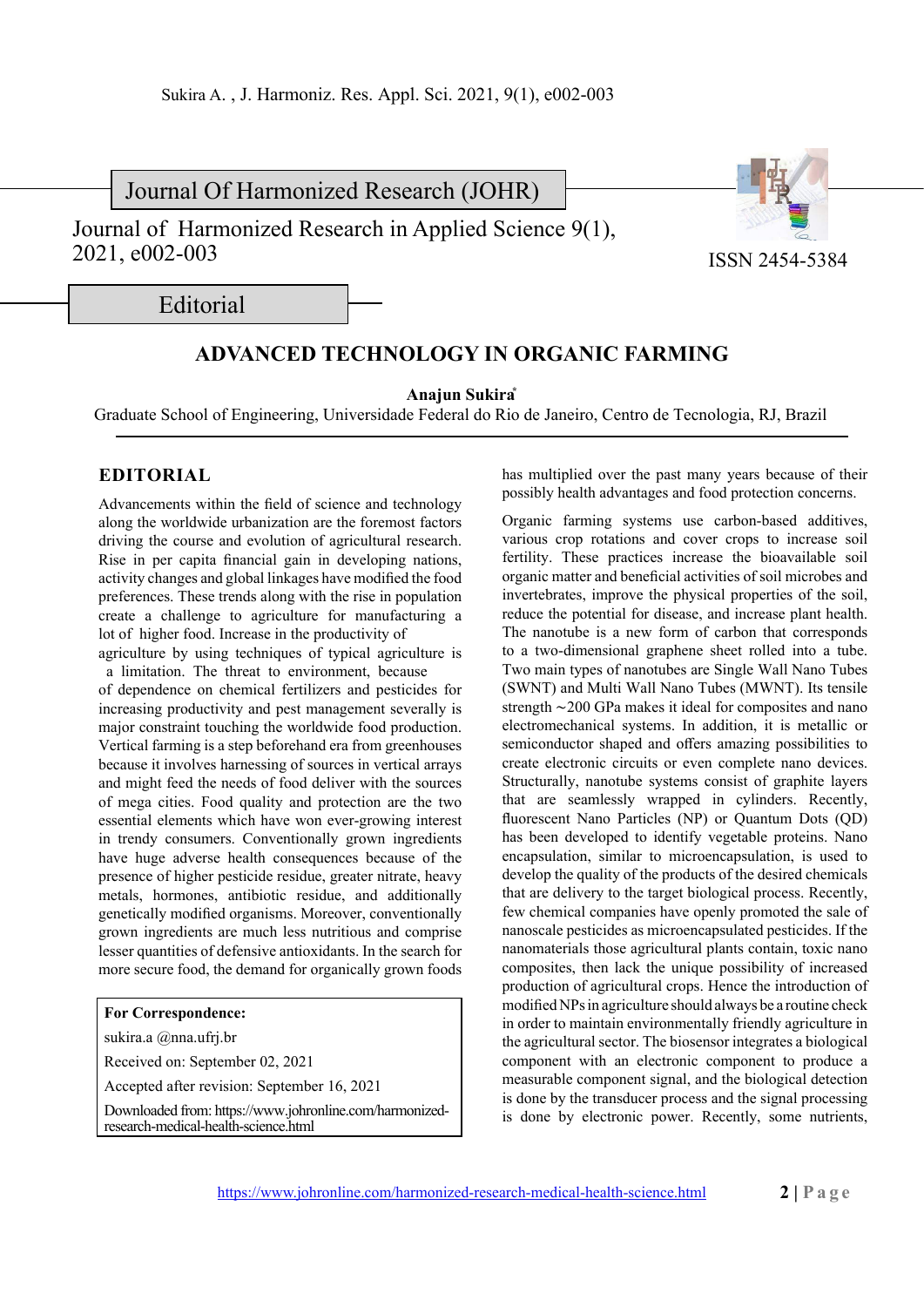Journal Of Harmonized Research (JOHR)

Journal of Harmonized Research in Applied Science 9(1), 2021, e002-003



ISSN 2454-5384

Editorial

## **ADVANCED TECHNOLOGY IN ORGANIC FARMING**

**Anajun Sukira\***

Graduate School of Engineering, Universidade Federal do Rio de Janeiro, Centro de Tecnologia, RJ, Brazil

## **EDITORIAL**

Advancements within the field of science and technology along the worldwide urbanization are the foremost factors driving the course and evolution of agricultural research. Rise in per capita financial gain in developing nations, activity changes and global linkages have modified the food preferences. These trends along with the rise in population create a challenge to agriculture for manufacturing a lot of higher food. Increase in the productivity of agriculture by using techniques of typical agriculture is a limitation. The threat to environment, because of dependence on chemical fertilizers and pesticides for increasing productivity and pest management severally is major constraint touching the worldwide food production. Vertical farming is a step beforehand era from greenhouses because it involves harnessing of sources in vertical arrays and might feed the needs of food deliver with the sources of mega cities. Food quality and protection are the two essential elements which have won ever-growing interest in trendy consumers. Conventionally grown ingredients have huge adverse health consequences because of the presence of higher pesticide residue, greater nitrate, heavy metals, hormones, antibiotic residue, and additionally genetically modified organisms. Moreover, conventionally grown ingredients are much less nutritious and comprise lesser quantities of defensive antioxidants. In the search for more secure food, the demand for organically grown foods

## **For Correspondence:**

sukira.a @nna.ufrj.br

Received on: September 02, 2021

Accepted after revision: September 16, 2021

Downloaded from: https://www.johronline.com/harmonizedresearch-medical-health-science.html

has multiplied over the past many years because of their possibly health advantages and food protection concerns.

Organic farming systems use carbon-based additives, various crop rotations and cover crops to increase soil fertility. These practices increase the bioavailable soil organic matter and beneficial activities of soil microbes and invertebrates, improve the physical properties of the soil, reduce the potential for disease, and increase plant health. The nanotube is a new form of carbon that corresponds to a two-dimensional graphene sheet rolled into a tube. Two main types of nanotubes are Single Wall Nano Tubes (SWNT) and Multi Wall Nano Tubes (MWNT). Its tensile strength ∼200 GPa makes it ideal for composites and nano electromechanical systems. In addition, it is metallic or semiconductor shaped and offers amazing possibilities to create electronic circuits or even complete nano devices. Structurally, nanotube systems consist of graphite layers that are seamlessly wrapped in cylinders. Recently, fluorescent Nano Particles (NP) or Quantum Dots (QD) has been developed to identify vegetable proteins. Nano encapsulation, similar to microencapsulation, is used to develop the quality of the products of the desired chemicals that are delivery to the target biological process. Recently, few chemical companies have openly promoted the sale of nanoscale pesticides as microencapsulated pesticides. If the nanomaterials those agricultural plants contain, toxic nano composites, then lack the unique possibility of increased production of agricultural crops. Hence the introduction of modified NPs in agriculture should always be a routine check in order to maintain environmentally friendly agriculture in the agricultural sector. The biosensor integrates a biological component with an electronic component to produce a measurable component signal, and the biological detection is done by the transducer process and the signal processing is done by electronic power. Recently, some nutrients,